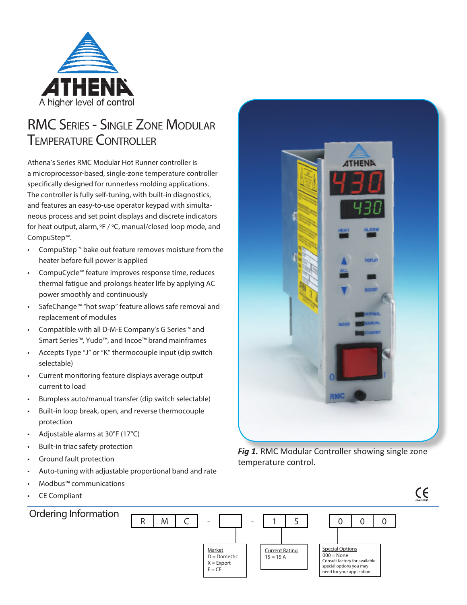

## RMC Series - Single Zone Modular Temperature Controller

Athena's Series RMC Modular Hot Runner controller is a microprocessor-based, single-zone temperature controller specifically designed for runnerless molding applications. The controller is fully self-tuning, with built-in diagnostics, and features an easy-to-use operator keypad with simultaneous process and set point displays and discrete indicators for heat output, alarm, <sup>o</sup>F / <sup>o</sup>C, manual/closed loop mode, and CompuStep™.

- CompuStep™ bake out feature removes moisture from the heater before full power is applied
- CompuCycle™ feature improves response time, reduces thermal fatigue and prolongs heater life by applying AC power smoothly and continuously
- SafeChange™ "hot swap" feature allows safe removal and replacement of modules
- Compatible with all D-M-E Company's G Series™ and Smart Series™, Yudo™, and Incoe™ brand mainframes
- Accepts Type "J" or "K" thermocouple input (dip switch selectable)
- Current monitoring feature displays average output current to load
- Bumpless auto/manual transfer (dip switch selectable)
- Built-in loop break, open, and reverse thermocouple protection
- Adjustable alarms at 30°F (17°C)
- Built-in triac safety protection
- Ground fault protection
- Auto-tuning with adjustable proportional band and rate
- Modbus™ communications
- CE Compliant



**Fig 1.** RMC Modular Controller showing single zone temperature control.